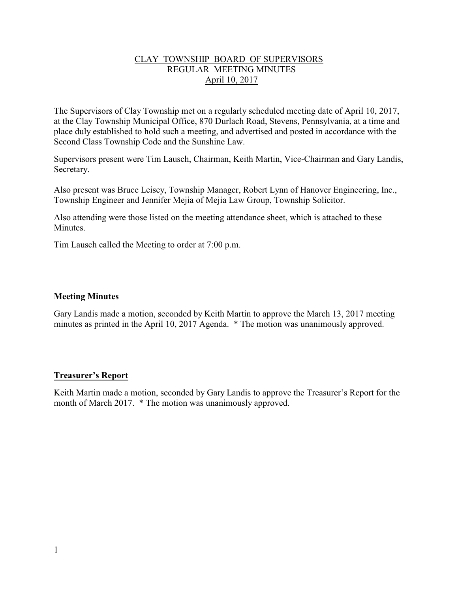### CLAY TOWNSHIP BOARD OF SUPERVISORS REGULAR MEETING MINUTES April 10, 2017

The Supervisors of Clay Township met on a regularly scheduled meeting date of April 10, 2017, at the Clay Township Municipal Office, 870 Durlach Road, Stevens, Pennsylvania, at a time and place duly established to hold such a meeting, and advertised and posted in accordance with the Second Class Township Code and the Sunshine Law.

Supervisors present were Tim Lausch, Chairman, Keith Martin, Vice-Chairman and Gary Landis, Secretary.

Also present was Bruce Leisey, Township Manager, Robert Lynn of Hanover Engineering, Inc., Township Engineer and Jennifer Mejia of Mejia Law Group, Township Solicitor.

Also attending were those listed on the meeting attendance sheet, which is attached to these **Minutes** 

Tim Lausch called the Meeting to order at 7:00 p.m.

### **Meeting Minutes**

Gary Landis made a motion, seconded by Keith Martin to approve the March 13, 2017 meeting minutes as printed in the April 10, 2017 Agenda. \* The motion was unanimously approved.

### **Treasurer's Report**

Keith Martin made a motion, seconded by Gary Landis to approve the Treasurer's Report for the month of March 2017. \* The motion was unanimously approved.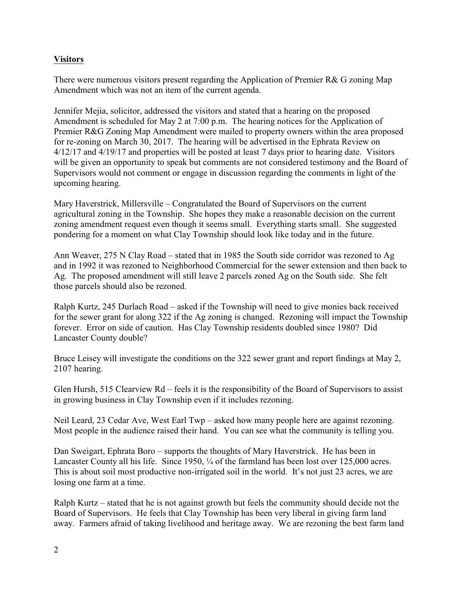## **Visitors**

There were numerous visitors present regarding the Application of Premier R& G zoning Map Amendment which was not an item of the current agenda.

Jennifer Mejia, solicitor, addressed the visitors and stated that a hearing on the proposed Amendment is scheduled for May 2 at 7:00 p.m. The hearing notices for the Application of Premier R&G Zoning Map Amendment were mailed to property owners within the area proposed for re-zoning on March 30, 2017. The hearing will be advertised in the Ephrata Review on 4/12/17 and 4/19/17 and properties will be posted at least 7 days prior to hearing date. Visitors will be given an opportunity to speak but comments are not considered testimony and the Board of Supervisors would not comment or engage in discussion regarding the comments in light of the upcoming hearing.

Mary Haverstrick, Millersville – Congratulated the Board of Supervisors on the current agricultural zoning in the Township. She hopes they make a reasonable decision on the current zoning amendment request even though it seems small. Everything starts small. She suggested pondering for a moment on what Clay Township should look like today and in the future.

Ann Weaver, 275 N Clay Road – stated that in 1985 the South side corridor was rezoned to Ag and in 1992 it was rezoned to Neighborhood Commercial for the sewer extension and then back to Ag. The proposed amendment will still leave 2 parcels zoned Ag on the South side. She felt those parcels should also be rezoned.

Ralph Kurtz, 245 Durlach Road – asked if the Township will need to give monies back received for the sewer grant for along 322 if the Ag zoning is changed. Rezoning will impact the Township forever. Error on side of caution. Has Clay Township residents doubled since 1980? Did Lancaster County double?

Bruce Leisey will investigate the conditions on the 322 sewer grant and report findings at May 2, 2107 hearing.

Glen Hursh, 515 Clearview Rd – feels it is the responsibility of the Board of Supervisors to assist in growing business in Clay Township even if it includes rezoning.

Neil Leard, 23 Cedar Ave, West Earl Twp – asked how many people here are against rezoning. Most people in the audience raised their hand. You can see what the community is telling you.

Dan Sweigart, Ephrata Boro – supports the thoughts of Mary Haverstrick. He has been in Lancaster County all his life. Since 1950, ¼ of the farmland has been lost over 125,000 acres. This is about soil most productive non-irrigated soil in the world. It's not just 23 acres, we are losing one farm at a time.

Ralph Kurtz – stated that he is not against growth but feels the community should decide not the Board of Supervisors. He feels that Clay Township has been very liberal in giving farm land away. Farmers afraid of taking livelihood and heritage away. We are rezoning the best farm land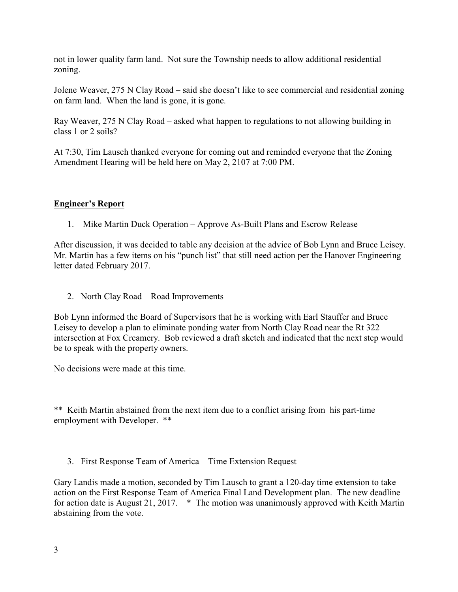not in lower quality farm land. Not sure the Township needs to allow additional residential zoning.

Jolene Weaver, 275 N Clay Road – said she doesn't like to see commercial and residential zoning on farm land. When the land is gone, it is gone.

Ray Weaver, 275 N Clay Road – asked what happen to regulations to not allowing building in class 1 or 2 soils?

At 7:30, Tim Lausch thanked everyone for coming out and reminded everyone that the Zoning Amendment Hearing will be held here on May 2, 2107 at 7:00 PM.

## **Engineer's Report**

1. Mike Martin Duck Operation – Approve As-Built Plans and Escrow Release

After discussion, it was decided to table any decision at the advice of Bob Lynn and Bruce Leisey. Mr. Martin has a few items on his "punch list" that still need action per the Hanover Engineering letter dated February 2017.

2. North Clay Road – Road Improvements

Bob Lynn informed the Board of Supervisors that he is working with Earl Stauffer and Bruce Leisey to develop a plan to eliminate ponding water from North Clay Road near the Rt 322 intersection at Fox Creamery. Bob reviewed a draft sketch and indicated that the next step would be to speak with the property owners.

No decisions were made at this time.

\*\* Keith Martin abstained from the next item due to a conflict arising from his part-time employment with Developer. \*\*

3. First Response Team of America – Time Extension Request

Gary Landis made a motion, seconded by Tim Lausch to grant a 120-day time extension to take action on the First Response Team of America Final Land Development plan. The new deadline for action date is August 21, 2017. \* The motion was unanimously approved with Keith Martin abstaining from the vote.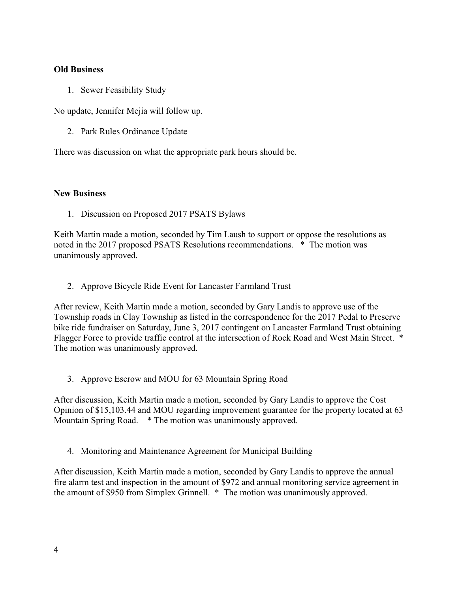### **Old Business**

1. Sewer Feasibility Study

No update, Jennifer Mejia will follow up.

2. Park Rules Ordinance Update

There was discussion on what the appropriate park hours should be.

### **New Business**

1. Discussion on Proposed 2017 PSATS Bylaws

Keith Martin made a motion, seconded by Tim Laush to support or oppose the resolutions as noted in the 2017 proposed PSATS Resolutions recommendations. \* The motion was unanimously approved.

2. Approve Bicycle Ride Event for Lancaster Farmland Trust

After review, Keith Martin made a motion, seconded by Gary Landis to approve use of the Township roads in Clay Township as listed in the correspondence for the 2017 Pedal to Preserve bike ride fundraiser on Saturday, June 3, 2017 contingent on Lancaster Farmland Trust obtaining Flagger Force to provide traffic control at the intersection of Rock Road and West Main Street. \* The motion was unanimously approved.

3. Approve Escrow and MOU for 63 Mountain Spring Road

After discussion, Keith Martin made a motion, seconded by Gary Landis to approve the Cost Opinion of \$15,103.44 and MOU regarding improvement guarantee for the property located at 63 Mountain Spring Road. \* The motion was unanimously approved.

4. Monitoring and Maintenance Agreement for Municipal Building

After discussion, Keith Martin made a motion, seconded by Gary Landis to approve the annual fire alarm test and inspection in the amount of \$972 and annual monitoring service agreement in the amount of \$950 from Simplex Grinnell. \* The motion was unanimously approved.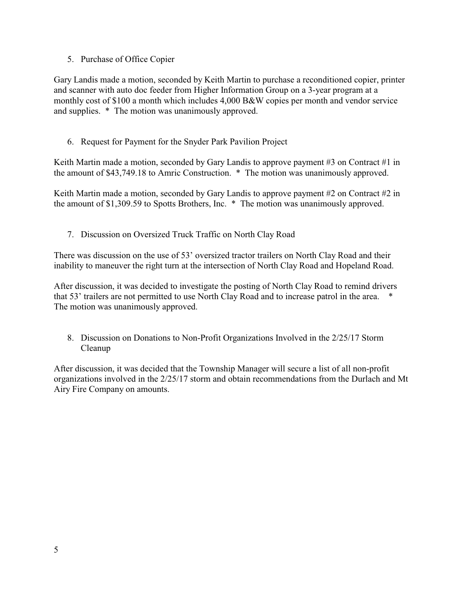## 5. Purchase of Office Copier

Gary Landis made a motion, seconded by Keith Martin to purchase a reconditioned copier, printer and scanner with auto doc feeder from Higher Information Group on a 3-year program at a monthly cost of \$100 a month which includes 4,000 B&W copies per month and vendor service and supplies. \* The motion was unanimously approved.

# 6. Request for Payment for the Snyder Park Pavilion Project

Keith Martin made a motion, seconded by Gary Landis to approve payment #3 on Contract #1 in the amount of \$43,749.18 to Amric Construction. \* The motion was unanimously approved.

Keith Martin made a motion, seconded by Gary Landis to approve payment #2 on Contract #2 in the amount of \$1,309.59 to Spotts Brothers, Inc. \* The motion was unanimously approved.

7. Discussion on Oversized Truck Traffic on North Clay Road

There was discussion on the use of 53' oversized tractor trailers on North Clay Road and their inability to maneuver the right turn at the intersection of North Clay Road and Hopeland Road.

After discussion, it was decided to investigate the posting of North Clay Road to remind drivers that 53' trailers are not permitted to use North Clay Road and to increase patrol in the area. \* The motion was unanimously approved.

8. Discussion on Donations to Non-Profit Organizations Involved in the 2/25/17 Storm Cleanup

After discussion, it was decided that the Township Manager will secure a list of all non-profit organizations involved in the 2/25/17 storm and obtain recommendations from the Durlach and Mt Airy Fire Company on amounts.